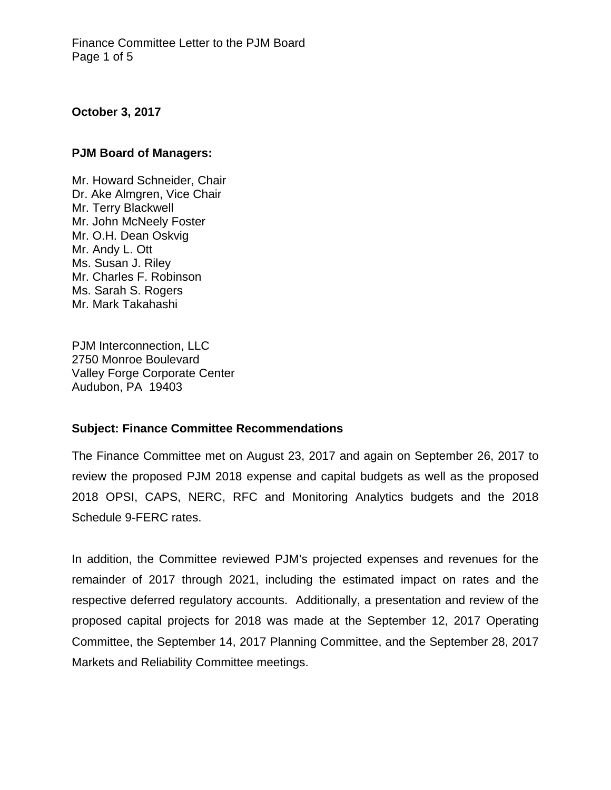## **October 3, 2017**

#### **PJM Board of Managers:**

Mr. Howard Schneider, Chair Dr. Ake Almgren, Vice Chair Mr. Terry Blackwell Mr. John McNeely Foster Mr. O.H. Dean Oskvig Mr. Andy L. Ott Ms. Susan J. Riley Mr. Charles F. Robinson Ms. Sarah S. Rogers Mr. Mark Takahashi

PJM Interconnection, LLC 2750 Monroe Boulevard Valley Forge Corporate Center Audubon, PA 19403

### **Subject: Finance Committee Recommendations**

The Finance Committee met on August 23, 2017 and again on September 26, 2017 to review the proposed PJM 2018 expense and capital budgets as well as the proposed 2018 OPSI, CAPS, NERC, RFC and Monitoring Analytics budgets and the 2018 Schedule 9-FERC rates.

In addition, the Committee reviewed PJM's projected expenses and revenues for the remainder of 2017 through 2021, including the estimated impact on rates and the respective deferred regulatory accounts. Additionally, a presentation and review of the proposed capital projects for 2018 was made at the September 12, 2017 Operating Committee, the September 14, 2017 Planning Committee, and the September 28, 2017 Markets and Reliability Committee meetings.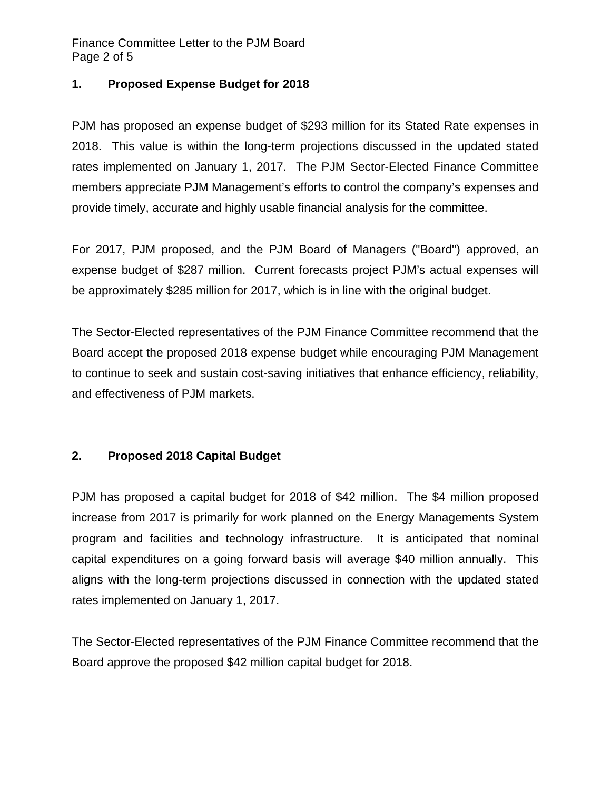Finance Committee Letter to the PJM Board Page 2 of 5

## **1. Proposed Expense Budget for 2018**

PJM has proposed an expense budget of \$293 million for its Stated Rate expenses in 2018. This value is within the long-term projections discussed in the updated stated rates implemented on January 1, 2017. The PJM Sector-Elected Finance Committee members appreciate PJM Management's efforts to control the company's expenses and provide timely, accurate and highly usable financial analysis for the committee.

For 2017, PJM proposed, and the PJM Board of Managers ("Board") approved, an expense budget of \$287 million. Current forecasts project PJM's actual expenses will be approximately \$285 million for 2017, which is in line with the original budget.

The Sector-Elected representatives of the PJM Finance Committee recommend that the Board accept the proposed 2018 expense budget while encouraging PJM Management to continue to seek and sustain cost-saving initiatives that enhance efficiency, reliability, and effectiveness of PJM markets.

# **2. Proposed 2018 Capital Budget**

PJM has proposed a capital budget for 2018 of \$42 million. The \$4 million proposed increase from 2017 is primarily for work planned on the Energy Managements System program and facilities and technology infrastructure. It is anticipated that nominal capital expenditures on a going forward basis will average \$40 million annually. This aligns with the long-term projections discussed in connection with the updated stated rates implemented on January 1, 2017.

The Sector-Elected representatives of the PJM Finance Committee recommend that the Board approve the proposed \$42 million capital budget for 2018.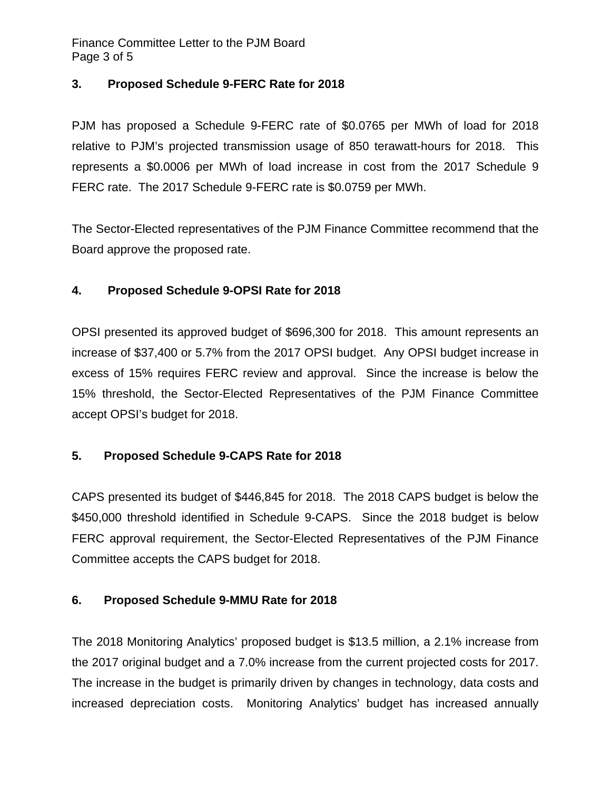Finance Committee Letter to the PJM Board Page 3 of 5

# **3. Proposed Schedule 9-FERC Rate for 2018**

PJM has proposed a Schedule 9-FERC rate of \$0.0765 per MWh of load for 2018 relative to PJM's projected transmission usage of 850 terawatt-hours for 2018. This represents a \$0.0006 per MWh of load increase in cost from the 2017 Schedule 9 FERC rate. The 2017 Schedule 9-FERC rate is \$0.0759 per MWh.

The Sector-Elected representatives of the PJM Finance Committee recommend that the Board approve the proposed rate.

# **4. Proposed Schedule 9-OPSI Rate for 2018**

OPSI presented its approved budget of \$696,300 for 2018. This amount represents an increase of \$37,400 or 5.7% from the 2017 OPSI budget. Any OPSI budget increase in excess of 15% requires FERC review and approval. Since the increase is below the 15% threshold, the Sector-Elected Representatives of the PJM Finance Committee accept OPSI's budget for 2018.

# **5. Proposed Schedule 9-CAPS Rate for 2018**

CAPS presented its budget of \$446,845 for 2018. The 2018 CAPS budget is below the \$450,000 threshold identified in Schedule 9-CAPS. Since the 2018 budget is below FERC approval requirement, the Sector-Elected Representatives of the PJM Finance Committee accepts the CAPS budget for 2018.

# **6. Proposed Schedule 9-MMU Rate for 2018**

The 2018 Monitoring Analytics' proposed budget is \$13.5 million, a 2.1% increase from the 2017 original budget and a 7.0% increase from the current projected costs for 2017. The increase in the budget is primarily driven by changes in technology, data costs and increased depreciation costs. Monitoring Analytics' budget has increased annually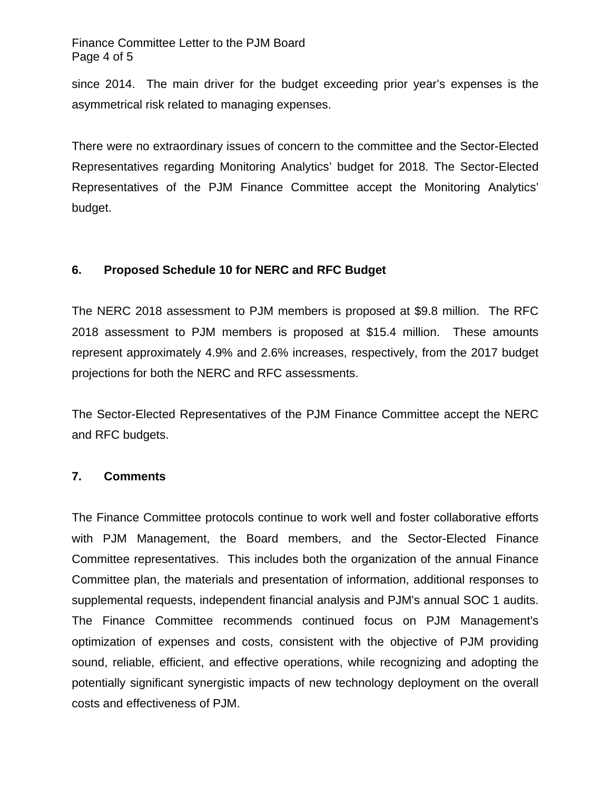Finance Committee Letter to the PJM Board Page 4 of 5

since 2014. The main driver for the budget exceeding prior year's expenses is the asymmetrical risk related to managing expenses.

There were no extraordinary issues of concern to the committee and the Sector-Elected Representatives regarding Monitoring Analytics' budget for 2018. The Sector-Elected Representatives of the PJM Finance Committee accept the Monitoring Analytics' budget.

# **6. Proposed Schedule 10 for NERC and RFC Budget**

The NERC 2018 assessment to PJM members is proposed at \$9.8 million. The RFC 2018 assessment to PJM members is proposed at \$15.4 million. These amounts represent approximately 4.9% and 2.6% increases, respectively, from the 2017 budget projections for both the NERC and RFC assessments.

The Sector-Elected Representatives of the PJM Finance Committee accept the NERC and RFC budgets.

### **7. Comments**

The Finance Committee protocols continue to work well and foster collaborative efforts with PJM Management, the Board members, and the Sector-Elected Finance Committee representatives. This includes both the organization of the annual Finance Committee plan, the materials and presentation of information, additional responses to supplemental requests, independent financial analysis and PJM's annual SOC 1 audits. The Finance Committee recommends continued focus on PJM Management's optimization of expenses and costs, consistent with the objective of PJM providing sound, reliable, efficient, and effective operations, while recognizing and adopting the potentially significant synergistic impacts of new technology deployment on the overall costs and effectiveness of PJM.